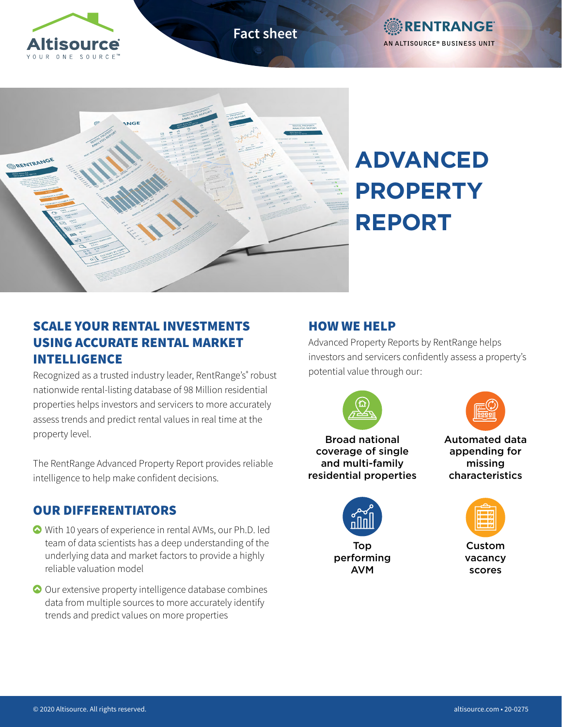

**Fact sheet**





# **ADVANCED PROPERTY REPORT**

# SCALE YOUR RENTAL INVESTMENTS USING ACCURATE RENTAL MARKET INTELLIGENCE

Recognized as a trusted industry leader, RentRange's® robust nationwide rental-listing database of 98 Million residential properties helps investors and servicers to more accurately assess trends and predict rental values in real time at the property level.

The RentRange Advanced Property Report provides reliable intelligence to help make confident decisions.

## OUR DIFFERENTIATORS

- With 10 years of experience in rental AVMs, our Ph.D. led team of data scientists has a deep understanding of the underlying data and market factors to provide a highly reliable valuation model
- Our extensive property intelligence database combines data from multiple sources to more accurately identify trends and predict values on more properties

## HOW WE HELP

Advanced Property Reports by RentRange helps investors and servicers confidently assess a property's potential value through our:



performing AVM



Automated data appending for missing characteristics



Custom vacancy scores